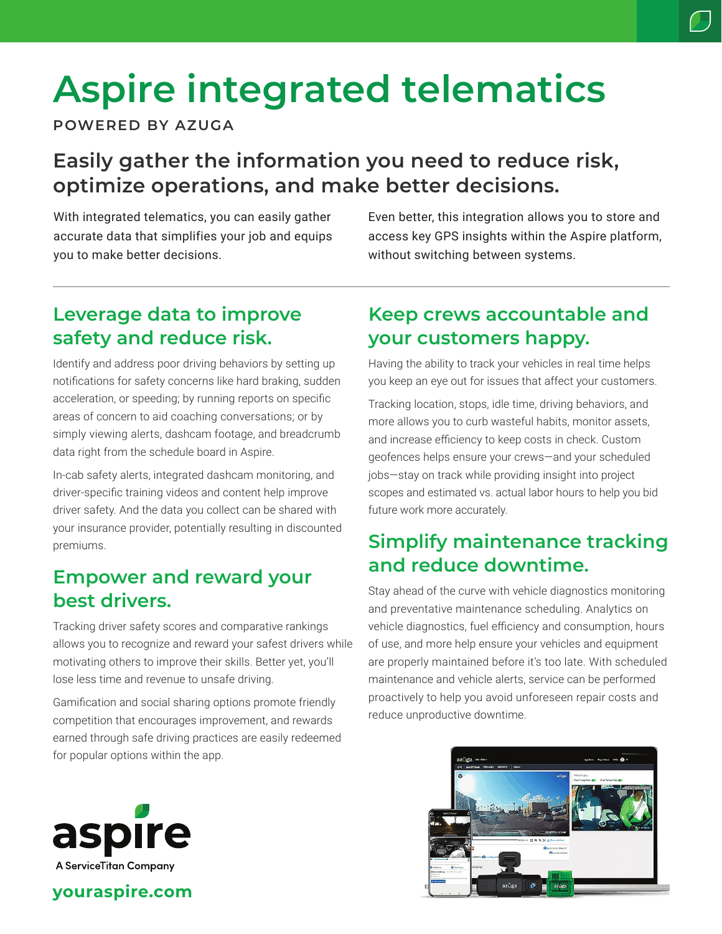# **Aspire integrated telematics**

**POWERED BY AZUGA**

# **Easily gather the information you need to reduce risk, optimize operations, and make better decisions.**

With integrated telematics, you can easily gather accurate data that simplifies your job and equips you to make better decisions.

Even better, this integration allows you to store and access key GPS insights within the Aspire platform, without switching between systems.

# **Leverage data to improve safety and reduce risk.**

Identify and address poor driving behaviors by setting up notifications for safety concerns like hard braking, sudden acceleration, or speeding; by running reports on specific areas of concern to aid coaching conversations; or by simply viewing alerts, dashcam footage, and breadcrumb data right from the schedule board in Aspire.

In-cab safety alerts, integrated dashcam monitoring, and driver-specific training videos and content help improve driver safety. And the data you collect can be shared with your insurance provider, potentially resulting in discounted premiums.

# **Empower and reward your best drivers.**

Tracking driver safety scores and comparative rankings allows you to recognize and reward your safest drivers while motivating others to improve their skills. Better yet, you'll lose less time and revenue to unsafe driving.

Gamification and social sharing options promote friendly competition that encourages improvement, and rewards earned through safe driving practices are easily redeemed for popular options within the app.

# **Keep crews accountable and your customers happy.**

Having the ability to track your vehicles in real time helps you keep an eye out for issues that affect your customers.

Tracking location, stops, idle time, driving behaviors, and more allows you to curb wasteful habits, monitor assets, and increase efficiency to keep costs in check. Custom geofences helps ensure your crews—and your scheduled jobs—stay on track while providing insight into project scopes and estimated vs. actual labor hours to help you bid future work more accurately.

# **Simplify maintenance tracking and reduce downtime.**

Stay ahead of the curve with vehicle diagnostics monitoring and preventative maintenance scheduling. Analytics on vehicle diagnostics, fuel efficiency and consumption, hours of use, and more help ensure your vehicles and equipment are properly maintained before it's too late. With scheduled maintenance and vehicle alerts, service can be performed proactively to help you avoid unforeseen repair costs and reduce unproductive downtime.





## **youraspire.com**